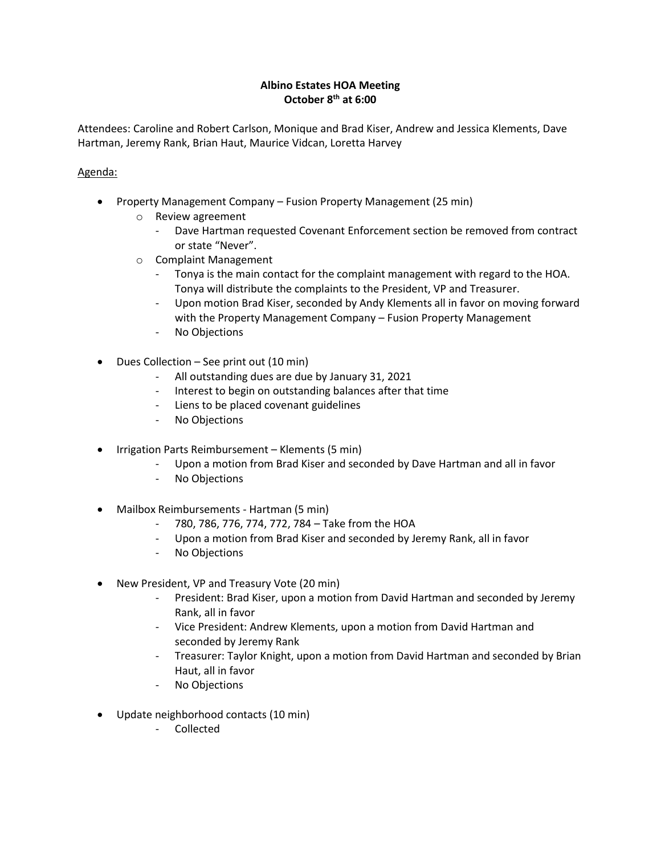## **Albino Estates HOA Meeting October 8th at 6:00**

Attendees: Caroline and Robert Carlson, Monique and Brad Kiser, Andrew and Jessica Klements, Dave Hartman, Jeremy Rank, Brian Haut, Maurice Vidcan, Loretta Harvey

## Agenda:

- Property Management Company Fusion Property Management (25 min)
	- o Review agreement
		- Dave Hartman requested Covenant Enforcement section be removed from contract or state "Never".
	- o Complaint Management
		- Tonya is the main contact for the complaint management with regard to the HOA. Tonya will distribute the complaints to the President, VP and Treasurer.
		- Upon motion Brad Kiser, seconded by Andy Klements all in favor on moving forward with the Property Management Company – Fusion Property Management
		- No Objections
- Dues Collection See print out (10 min)
	- All outstanding dues are due by January 31, 2021
	- Interest to begin on outstanding balances after that time
	- Liens to be placed covenant guidelines
	- No Objections
- Irrigation Parts Reimbursement Klements (5 min)
	- Upon a motion from Brad Kiser and seconded by Dave Hartman and all in favor
	- No Objections
- Mailbox Reimbursements Hartman (5 min)
	- 780, 786, 776, 774, 772, 784 Take from the HOA
	- Upon a motion from Brad Kiser and seconded by Jeremy Rank, all in favor
	- No Objections
- New President, VP and Treasury Vote (20 min)
	- President: Brad Kiser, upon a motion from David Hartman and seconded by Jeremy Rank, all in favor
	- Vice President: Andrew Klements, upon a motion from David Hartman and seconded by Jeremy Rank
	- Treasurer: Taylor Knight, upon a motion from David Hartman and seconded by Brian Haut, all in favor
	- No Objections
- Update neighborhood contacts (10 min)
	- Collected